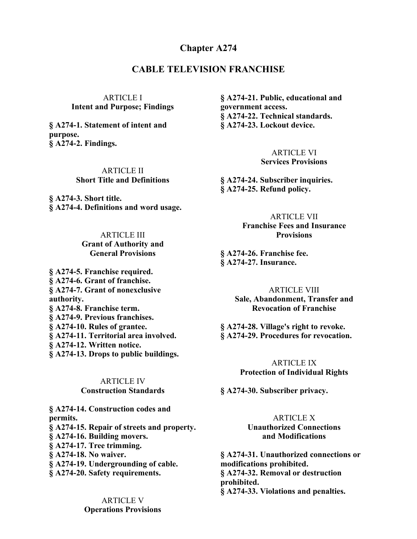## **Chapter A274**

# **CABLE TELEVISION FRANCHISE**

ARTICLE I **Intent and Purpose; Findings**

**§ A274-1. Statement of intent and purpose. § A274-2. Findings.**

> ARTICLE II **Short Title and Definitions**

**§ A274-3. Short title. § A274-4. Definitions and word usage.**

> ARTICLE III **Grant of Authority and General Provisions**

**§ A274-5. Franchise required. § A274-6. Grant of franchise. § A274-7. Grant of nonexclusive authority. § A274-8. Franchise term. § A274-9. Previous franchises. § A274-10. Rules of grantee. § A274-11. Territorial area involved. § A274-12. Written notice. § A274-13. Drops to public buildings.**

> ARTICLE IV **Construction Standards**

**§ A274-14. Construction codes and permits. § A274-15. Repair of streets and property. § A274-16. Building movers. § A274-17. Tree trimming. § A274-18. No waiver. § A274-19. Undergrounding of cable. § A274-20. Safety requirements.**

> ARTICLE V **Operations Provisions**

**§ A274-21. Public, educational and government access. § A274-22. Technical standards. § A274-23. Lockout device.**

> ARTICLE VI **Services Provisions**

**§ A274-24. Subscriber inquiries. § A274-25. Refund policy.**

> ARTICLE VII **Franchise Fees and Insurance Provisions**

**§ A274-26. Franchise fee. § A274-27. Insurance.**

> ARTICLE VIII **Sale, Abandonment, Transfer and Revocation of Franchise**

**§ A274-28. Village's right to revoke. § A274-29. Procedures for revocation.**

> ARTICLE IX **Protection of Individual Rights**

**§ A274-30. Subscriber privacy.**

ARTICLE X **Unauthorized Connections and Modifications**

**§ A274-31. Unauthorized connections or modifications prohibited. § A274-32. Removal or destruction prohibited. § A274-33. Violations and penalties.**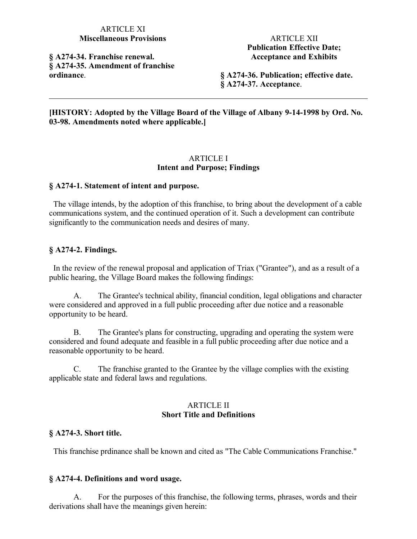## ARTICLE XI **Miscellaneous Provisions**

**§ A274-34. Franchise renewal. § A274-35. Amendment of franchise ordinance**.

ARTICLE XII **Publication Effective Date; Acceptance and Exhibits**

**§ A274-36. Publication; effective date. § A274-37. Acceptance**.

**[HISTORY: Adopted by the Village Board of the Village of Albany 9-14-1998 by Ord. No. 03-98. Amendments noted where applicable.]**

#### ARTICLE I **Intent and Purpose; Findings**

#### **§ A274-1. Statement of intent and purpose.**

 The village intends, by the adoption of this franchise, to bring about the development of a cable communications system, and the continued operation of it. Such a development can contribute significantly to the communication needs and desires of many.

### **§ A274-2. Findings.**

 In the review of the renewal proposal and application of Triax ("Grantee"), and as a result of a public hearing, the Village Board makes the following findings:

A. The Grantee's technical ability, financial condition, legal obligations and character were considered and approved in a full public proceeding after due notice and a reasonable opportunity to be heard.

B. The Grantee's plans for constructing, upgrading and operating the system were considered and found adequate and feasible in a full public proceeding after due notice and a reasonable opportunity to be heard.

C. The franchise granted to the Grantee by the village complies with the existing applicable state and federal laws and regulations.

### ARTICLE II **Short Title and Definitions**

#### **§ A274-3. Short title.**

This franchise prdinance shall be known and cited as "The Cable Communications Franchise."

#### **§ A274-4. Definitions and word usage.**

A. For the purposes of this franchise, the following terms, phrases, words and their derivations shall have the meanings given herein: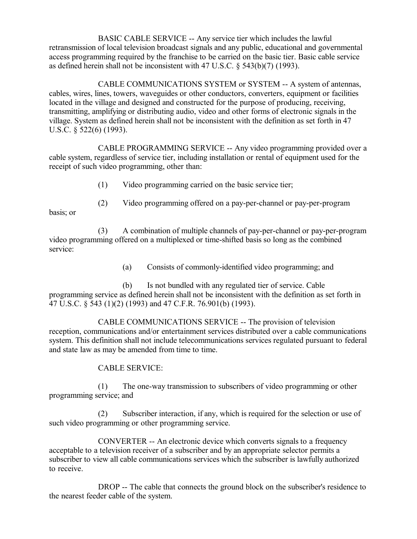BASIC CABLE SERVICE -- Any service tier which includes the lawful retransmission of local television broadcast signals and any public, educational and governmental access programming required by the franchise to be carried on the basic tier. Basic cable service as defined herein shall not be inconsistent with 47 U.S.C. § 543(b)(7) (1993).

CABLE COMMUNICATIONS SYSTEM or SYSTEM -- A system of antennas, cables, wires, lines, towers, waveguides or other conductors, converters, equipment or facilities located in the village and designed and constructed for the purpose of producing, receiving, transmitting, amplifying or distributing audio, video and other forms of electronic signals in the village. System as defined herein shall not be inconsistent with the definition as set forth in 47 U.S.C. § 522(6) (1993).

CABLE PROGRAMMING SERVICE -- Any video programming provided over a cable system, regardless of service tier, including installation or rental of equipment used for the receipt of such video programming, other than:

(1) Video programming carried on the basic service tier;

basis; or

(2) Video programming offered on a pay-per-channel or pay-per-program

(3) A combination of multiple channels of pay-per-channel or pay-per-program video programming offered on a multiplexed or time-shifted basis so long as the combined service:

(a) Consists of commonly-identified video programming; and

(b) Is not bundled with any regulated tier of service. Cable programming service as defined herein shall not be inconsistent with the definition as set forth in 47 U.S.C. § 543 (1)(2) (1993) and 47 C.F.R. 76.901(b) (1993).

CABLE COMMUNICATIONS SERVICE -- The provision of television reception, communications and/or entertainment services distributed over a cable communications system. This definition shall not include telecommunications services regulated pursuant to federal and state law as may be amended from time to time.

## CABLE SERVICE:

(1) The one-way transmission to subscribers of video programming or other programming service; and

(2) Subscriber interaction, if any, which is required for the selection or use of such video programming or other programming service.

CONVERTER -- An electronic device which converts signals to a frequency acceptable to a television receiver of a subscriber and by an appropriate selector permits a subscriber to view all cable communications services which the subscriber is lawfully authorized to receive.

DROP -- The cable that connects the ground block on the subscriber's residence to the nearest feeder cable of the system.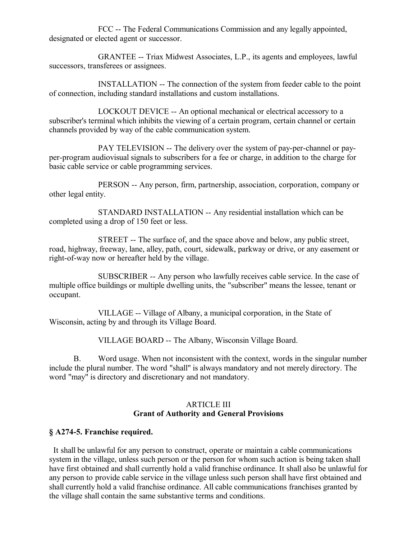FCC -- The Federal Communications Commission and any legally appointed, designated or elected agent or successor.

GRANTEE -- Triax Midwest Associates, L.P., its agents and employees, lawful successors, transferees or assignees.

INSTALLATION -- The connection of the system from feeder cable to the point of connection, including standard installations and custom installations.

LOCKOUT DEVICE -- An optional mechanical or electrical accessory to a subscriber's terminal which inhibits the viewing of a certain program, certain channel or certain channels provided by way of the cable communication system.

PAY TELEVISION -- The delivery over the system of pay-per-channel or payper-program audiovisual signals to subscribers for a fee or charge, in addition to the charge for basic cable service or cable programming services.

PERSON -- Any person, firm, partnership, association, corporation, company or other legal entity.

STANDARD INSTALLATION -- Any residential installation which can be completed using a drop of 150 feet or less.

STREET -- The surface of, and the space above and below, any public street, road, highway, freeway, lane, alley, path, court, sidewalk, parkway or drive, or any easement or right-of-way now or hereafter held by the village.

SUBSCRIBER -- Any person who lawfully receives cable service. In the case of multiple office buildings or multiple dwelling units, the "subscriber" means the lessee, tenant or occupant.

VILLAGE -- Village of Albany, a municipal corporation, in the State of Wisconsin, acting by and through its Village Board.

VILLAGE BOARD -- The Albany, Wisconsin Village Board.

B. Word usage. When not inconsistent with the context, words in the singular number include the plural number. The word "shall" is always mandatory and not merely directory. The word "may" is directory and discretionary and not mandatory.

# ARTICLE III **Grant of Authority and General Provisions**

# **§ A274-5. Franchise required.**

 It shall be unlawful for any person to construct, operate or maintain a cable communications system in the village, unless such person or the person for whom such action is being taken shall have first obtained and shall currently hold a valid franchise ordinance. It shall also be unlawful for any person to provide cable service in the village unless such person shall have first obtained and shall currently hold a valid franchise ordinance. All cable communications franchises granted by the village shall contain the same substantive terms and conditions.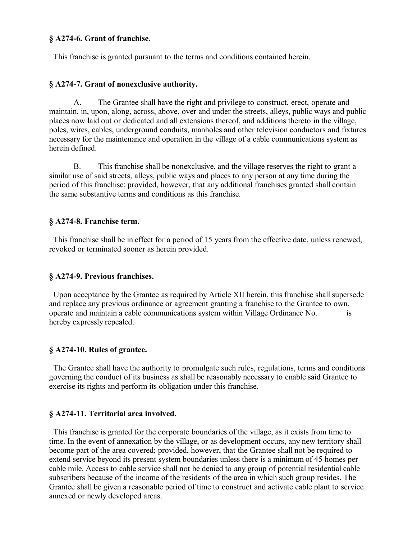### **§ A274-6. Grant of franchise.**

This franchise is granted pursuant to the terms and conditions contained herein.

### **§ A274-7. Grant of nonexclusive authority.**

A. The Grantee shall have the right and privilege to construct, erect, operate and maintain, in, upon, along, across, above, over and under the streets, alleys, public ways and public places now laid out or dedicated and all extensions thereof, and additions thereto in the village, poles, wires, cables, underground conduits, manholes and other television conductors and fixtures necessary for the maintenance and operation in the village of a cable communications system as herein defined.

B. This franchise shall be nonexclusive, and the village reserves the right to grant a similar use of said streets, alleys, public ways and places to any person at any time during the period of this franchise; provided, however, that any additional franchises granted shall contain the same substantive terms and conditions as this franchise.

#### **§ A274-8. Franchise term.**

 This franchise shall be in effect for a period of 15 years from the effective date, unless renewed, revoked or terminated sooner as herein provided.

## **§ A274-9. Previous franchises.**

 Upon acceptance by the Grantee as required by Article XII herein, this franchise shall supersede and replace any previous ordinance or agreement granting a franchise to the Grantee to own, operate and maintain a cable communications system within Village Ordinance No. \_\_\_\_\_\_ is hereby expressly repealed.

#### **§ A274-10. Rules of grantee.**

 The Grantee shall have the authority to promulgate such rules, regulations, terms and conditions governing the conduct of its business as shall be reasonably necessary to enable said Grantee to exercise its rights and perform its obligation under this franchise.

#### **§ A274-11. Territorial area involved.**

 This franchise is granted for the corporate boundaries of the village, as it exists from time to time. In the event of annexation by the village, or as development occurs, any new territory shall become part of the area covered; provided, however, that the Grantee shall not be required to extend service beyond its present system boundaries unless there is a minimum of 45 homes per cable mile. Access to cable service shall not be denied to any group of potential residential cable subscribers because of the income of the residents of the area in which such group resides. The Grantee shall be given a reasonable period of time to construct and activate cable plant to service annexed or newly developed areas.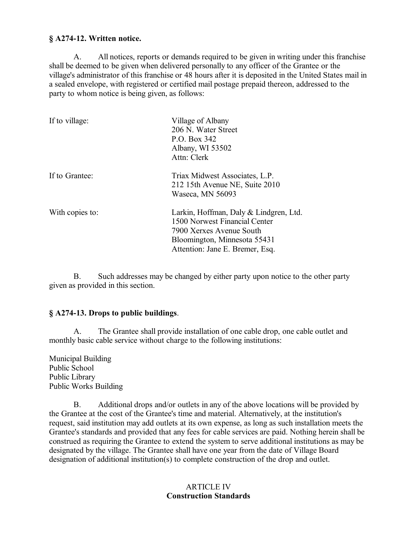## **§ A274-12. Written notice.**

A. All notices, reports or demands required to be given in writing under this franchise shall be deemed to be given when delivered personally to any officer of the Grantee or the village's administrator of this franchise or 48 hours after it is deposited in the United States mail in a sealed envelope, with registered or certified mail postage prepaid thereon, addressed to the party to whom notice is being given, as follows:

| If to village:  | Village of Albany<br>206 N. Water Street<br>P.O. Box 342<br>Albany, WI 53502<br>Attn: Clerk                                                                            |
|-----------------|------------------------------------------------------------------------------------------------------------------------------------------------------------------------|
| If to Grantee:  | Triax Midwest Associates, L.P.<br>212 15th Avenue NE, Suite 2010<br>Waseca, MN 56093                                                                                   |
| With copies to: | Larkin, Hoffman, Daly & Lindgren, Ltd.<br>1500 Norwest Financial Center<br>7900 Xerxes Avenue South<br>Bloomington, Minnesota 55431<br>Attention: Jane E. Bremer, Esq. |

B. Such addresses may be changed by either party upon notice to the other party given as provided in this section.

## **§ A274-13. Drops to public buildings**.

A. The Grantee shall provide installation of one cable drop, one cable outlet and monthly basic cable service without charge to the following institutions:

Municipal Building Public School Public Library Public Works Building

B. Additional drops and/or outlets in any of the above locations will be provided by the Grantee at the cost of the Grantee's time and material. Alternatively, at the institution's request, said institution may add outlets at its own expense, as long as such installation meets the Grantee's standards and provided that any fees for cable services are paid. Nothing herein shall be construed as requiring the Grantee to extend the system to serve additional institutions as may be designated by the village. The Grantee shall have one year from the date of Village Board designation of additional institution(s) to complete construction of the drop and outlet.

# ARTICLE IV **Construction Standards**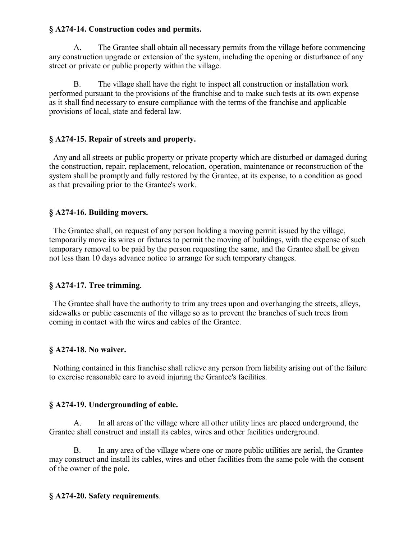# **§ A274-14. Construction codes and permits.**

A. The Grantee shall obtain all necessary permits from the village before commencing any construction upgrade or extension of the system, including the opening or disturbance of any street or private or public property within the village.

B. The village shall have the right to inspect all construction or installation work performed pursuant to the provisions of the franchise and to make such tests at its own expense as it shall find necessary to ensure compliance with the terms of the franchise and applicable provisions of local, state and federal law.

# **§ A274-15. Repair of streets and property.**

 Any and all streets or public property or private property which are disturbed or damaged during the construction, repair, replacement, relocation, operation, maintenance or reconstruction of the system shall be promptly and fully restored by the Grantee, at its expense, to a condition as good as that prevailing prior to the Grantee's work.

# **§ A274-16. Building movers.**

 The Grantee shall, on request of any person holding a moving permit issued by the village, temporarily move its wires or fixtures to permit the moving of buildings, with the expense of such temporary removal to be paid by the person requesting the same, and the Grantee shall be given not less than 10 days advance notice to arrange for such temporary changes.

# **§ A274-17. Tree trimming**.

 The Grantee shall have the authority to trim any trees upon and overhanging the streets, alleys, sidewalks or public easements of the village so as to prevent the branches of such trees from coming in contact with the wires and cables of the Grantee.

# **§ A274-18. No waiver.**

 Nothing contained in this franchise shall relieve any person from liability arising out of the failure to exercise reasonable care to avoid injuring the Grantee's facilities.

# **§ A274-19. Undergrounding of cable.**

A. In all areas of the village where all other utility lines are placed underground, the Grantee shall construct and install its cables, wires and other facilities underground.

B. In any area of the village where one or more public utilities are aerial, the Grantee may construct and install its cables, wires and other facilities from the same pole with the consent of the owner of the pole.

# **§ A274-20. Safety requirements**.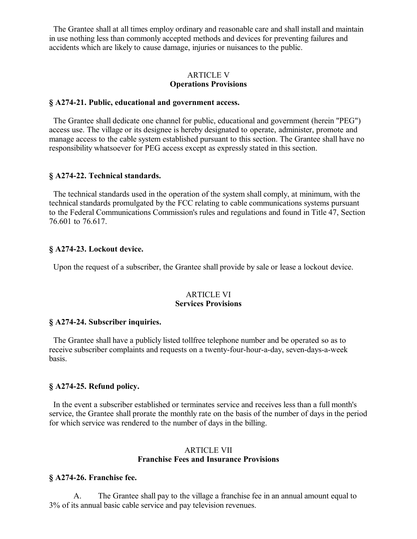The Grantee shall at all times employ ordinary and reasonable care and shall install and maintain in use nothing less than commonly accepted methods and devices for preventing failures and accidents which are likely to cause damage, injuries or nuisances to the public.

## ARTICLE V **Operations Provisions**

## **§ A274-21. Public, educational and government access.**

 The Grantee shall dedicate one channel for public, educational and government (herein "PEG") access use. The village or its designee is hereby designated to operate, administer, promote and manage access to the cable system established pursuant to this section. The Grantee shall have no responsibility whatsoever for PEG access except as expressly stated in this section.

#### **§ A274-22. Technical standards.**

 The technical standards used in the operation of the system shall comply, at minimum, with the technical standards promulgated by the FCC relating to cable communications systems pursuant to the Federal Communications Commission's rules and regulations and found in Title 47, Section 76.601 to 76.617.

#### **§ A274-23. Lockout device.**

Upon the request of a subscriber, the Grantee shall provide by sale or lease a lockout device.

#### ARTICLE VI **Services Provisions**

## **§ A274-24. Subscriber inquiries.**

 The Grantee shall have a publicly listed tollfree telephone number and be operated so as to receive subscriber complaints and requests on a twenty-four-hour-a-day, seven-days-a-week basis.

## **§ A274-25. Refund policy.**

 In the event a subscriber established or terminates service and receives less than a full month's service, the Grantee shall prorate the monthly rate on the basis of the number of days in the period for which service was rendered to the number of days in the billing.

## ARTICLE VII **Franchise Fees and Insurance Provisions**

#### **§ A274-26. Franchise fee.**

A. The Grantee shall pay to the village a franchise fee in an annual amount equal to 3% of its annual basic cable service and pay television revenues.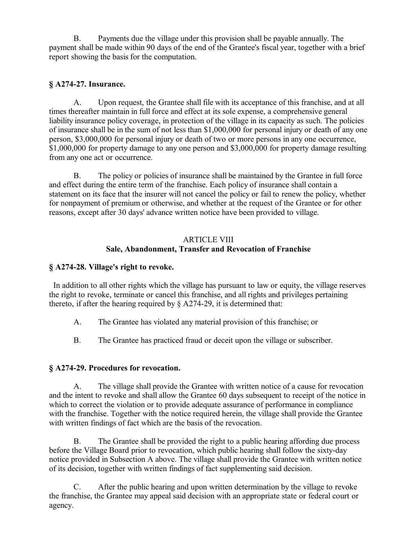B. Payments due the village under this provision shall be payable annually. The payment shall be made within 90 days of the end of the Grantee's fiscal year, together with a brief report showing the basis for the computation.

# **§ A274-27. Insurance.**

A. Upon request, the Grantee shall file with its acceptance of this franchise, and at all times thereafter maintain in full force and effect at its sole expense, a comprehensive general liability insurance policy coverage, in protection of the village in its capacity as such. The policies of insurance shall be in the sum of not less than \$1,000,000 for personal injury or death of any one person, \$3,000,000 for personal injury or death of two or more persons in any one occurrence, \$1,000,000 for property damage to any one person and \$3,000,000 for property damage resulting from any one act or occurrence.

B. The policy or policies of insurance shall be maintained by the Grantee in full force and effect during the entire term of the franchise. Each policy of insurance shall contain a statement on its face that the insurer will not cancel the policy or fail to renew the policy, whether for nonpayment of premium or otherwise, and whether at the request of the Grantee or for other reasons, except after 30 days' advance written notice have been provided to village.

# ARTICLE VIII **Sale, Abandonment, Transfer and Revocation of Franchise**

# **§ A274-28. Village's right to revoke.**

 In addition to all other rights which the village has pursuant to law or equity, the village reserves the right to revoke, terminate or cancel this franchise, and all rights and privileges pertaining thereto, if after the hearing required by § A274-29, it is determined that:

- A. The Grantee has violated any material provision of this franchise; or
- B. The Grantee has practiced fraud or deceit upon the village or subscriber.

## **§ A274-29. Procedures for revocation.**

A. The village shall provide the Grantee with written notice of a cause for revocation and the intent to revoke and shall allow the Grantee 60 days subsequent to receipt of the notice in which to correct the violation or to provide adequate assurance of performance in compliance with the franchise. Together with the notice required herein, the village shall provide the Grantee with written findings of fact which are the basis of the revocation.

B. The Grantee shall be provided the right to a public hearing affording due process before the Village Board prior to revocation, which public hearing shall follow the sixty-day notice provided in Subsection A above. The village shall provide the Grantee with written notice of its decision, together with written findings of fact supplementing said decision.

C. After the public hearing and upon written determination by the village to revoke the franchise, the Grantee may appeal said decision with an appropriate state or federal court or agency.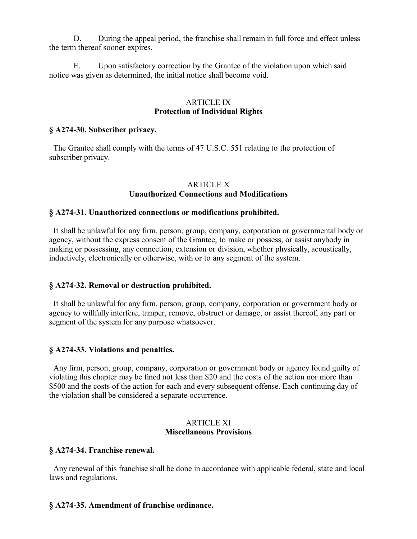D. During the appeal period, the franchise shall remain in full force and effect unless the term thereof sooner expires.

E. Upon satisfactory correction by the Grantee of the violation upon which said notice was given as determined, the initial notice shall become void.

#### ARTICLE IX **Protection of Individual Rights**

### **§ A274-30. Subscriber privacy.**

 The Grantee shall comply with the terms of 47 U.S.C. 551 relating to the protection of subscriber privacy.

#### **ARTICLE X Unauthorized Connections and Modifications**

#### **§ A274-31. Unauthorized connections or modifications prohibited.**

 It shall be unlawful for any firm, person, group, company, corporation or governmental body or agency, without the express consent of the Grantee, to make or possess, or assist anybody in making or possessing, any connection, extension or division, whether physically, acoustically, inductively, electronically or otherwise, with or to any segment of the system.

#### **§ A274-32. Removal or destruction prohibited.**

 It shall be unlawful for any firm, person, group, company, corporation or government body or agency to willfully interfere, tamper, remove, obstruct or damage, or assist thereof, any part or segment of the system for any purpose whatsoever.

## **§ A274-33. Violations and penalties.**

 Any firm, person, group, company, corporation or government body or agency found guilty of violating this chapter may be fined not less than \$20 and the costs of the action nor more than \$500 and the costs of the action for each and every subsequent offense. Each continuing day of the violation shall be considered a separate occurrence.

#### ARTICLE XI **Miscellaneous Provisions**

#### **§ A274-34. Franchise renewal.**

 Any renewal of this franchise shall be done in accordance with applicable federal, state and local laws and regulations.

## **§ A274-35. Amendment of franchise ordinance.**